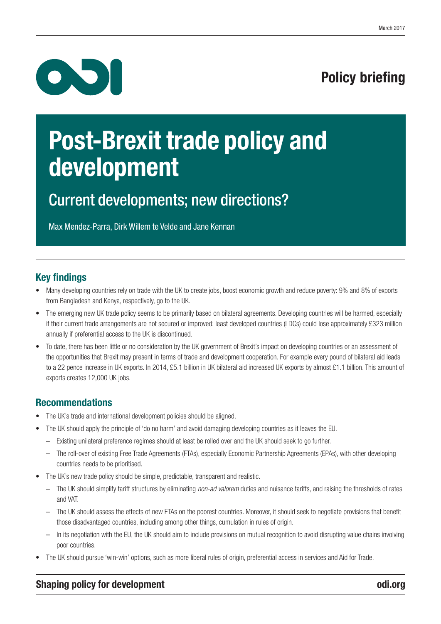# $\bullet$

## Policy briefing

## Post-Brexit trade policy and development

## Current developments; new directions?

Max Mendez-Parra, Dirk Willem te Velde and Jane Kennan

#### Key findings

- Many developing countries rely on trade with the UK to create jobs, boost economic growth and reduce poverty: 9% and 8% of exports from Bangladesh and Kenya, respectively, go to the UK.
- The emerging new UK trade policy seems to be primarily based on bilateral agreements. Developing countries will be harmed, especially if their current trade arrangements are not secured or improved: least developed countries (LDCs) could lose approximately £323 million annually if preferential access to the UK is discontinued.
- To date, there has been little or no consideration by the UK government of Brexit's impact on developing countries or an assessment of the opportunities that Brexit may present in terms of trade and development cooperation. For example every pound of bilateral aid leads to a 22 pence increase in UK exports. In 2014, £5.1 billion in UK bilateral aid increased UK exports by almost £1.1 billion. This amount of exports creates 12,000 UK jobs.

#### Recommendations

- The UK's trade and international development policies should be aligned.
- The UK should apply the principle of 'do no harm' and avoid damaging developing countries as it leaves the EU.
	- Existing unilateral preference regimes should at least be rolled over and the UK should seek to go further.
	- The roll-over of existing Free Trade Agreements (FTAs), especially Economic Partnership Agreements (EPAs), with other developing countries needs to be prioritised.
- The UK's new trade policy should be simple, predictable, transparent and realistic.
	- The UK should simplify tariff structures by eliminating *non-ad valorem* duties and nuisance tariffs, and raising the thresholds of rates and VAT.
	- The UK should assess the effects of new FTAs on the poorest countries. Moreover, it should seek to negotiate provisions that benefit those disadvantaged countries, including among other things, cumulation in rules of origin.
	- In its negotiation with the EU, the UK should aim to include provisions on mutual recognition to avoid disrupting value chains involving poor countries.
- The UK should pursue 'win-win' options, such as more liberal rules of origin, preferential access in services and Aid for Trade.

#### Shaping policy for development <odi.org> and the state of the state of the state odi.org odi.org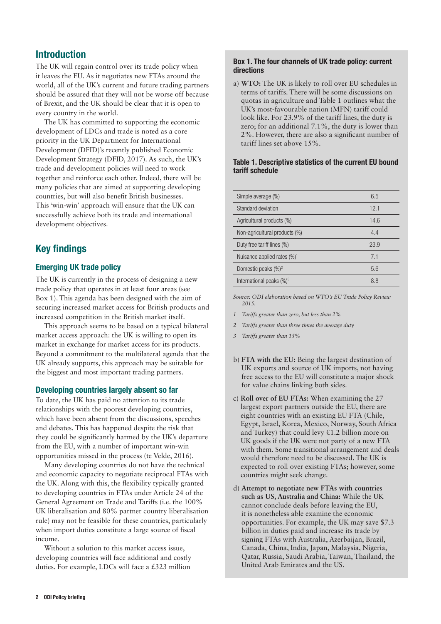#### Introduction

The UK will regain control over its trade policy when it leaves the EU. As it negotiates new FTAs around the world, all of the UK's current and future trading partners should be assured that they will not be worse off because of Brexit, and the UK should be clear that it is open to every country in the world.

The UK has committed to supporting the economic development of LDCs and trade is noted as a core priority in the UK Department for International Development (DFID)'s recently published Economic Development Strategy (DFID, 2017). As such, the UK's trade and development policies will need to work together and reinforce each other. Indeed, there will be many policies that are aimed at supporting developing countries, but will also benefit British businesses. This 'win-win' approach will ensure that the UK can successfully achieve both its trade and international development objectives.

#### Key findings

#### Emerging UK trade policy

The UK is currently in the process of designing a new trade policy that operates in at least four areas (see Box 1). This agenda has been designed with the aim of securing increased market access for British products and increased competition in the British market itself.

This approach seems to be based on a typical bilateral market access approach: the UK is willing to open its market in exchange for market access for its products. Beyond a commitment to the multilateral agenda that the UK already supports, this approach may be suitable for the biggest and most important trading partners.

#### Developing countries largely absent so far

To date, the UK has paid no attention to its trade relationships with the poorest developing countries, which have been absent from the discussions, speeches and debates. This has happened despite the risk that they could be significantly harmed by the UK's departure from the EU, with a number of important win-win opportunities missed in the process (te Velde, 2016).

Many developing countries do not have the technical and economic capacity to negotiate reciprocal FTAs with the UK. Along with this, the flexibility typically granted to developing countries in FTAs under Article 24 of the General Agreement on Trade and Tariffs (i.e. the 100% UK liberalisation and 80% partner country liberalisation rule) may not be feasible for these countries, particularly when import duties constitute a large source of fiscal income.

Without a solution to this market access issue, developing countries will face additional and costly duties. For example, LDCs will face a £323 million

#### Box 1. The four channels of UK trade policy: current directions

a) **WTO:** The UK is likely to roll over EU schedules in terms of tariffs. There will be some discussions on quotas in agriculture and Table 1 outlines what the UK's most-favourable nation (MFN) tariff could look like. For 23.9% of the tariff lines, the duty is zero; for an additional 7.1%, the duty is lower than 2%. However, there are also a significant number of tariff lines set above 15%.

#### Table 1. Descriptive statistics of the current EU bound tariff schedule

| Simple average (%)                      | 6.5  |
|-----------------------------------------|------|
| Standard deviation                      | 12.1 |
| Agricultural products (%)               | 14.6 |
| Non-agricultural products (%)           | 4.4  |
| Duty free tariff lines (%)              | 23.9 |
| Nuisance applied rates (%) <sup>1</sup> | 7.1  |
| Domestic peaks $(\%)^2$                 | 5.6  |
| International peaks $(\%)^3$            | 8.8  |
|                                         |      |

*Source: ODI elaboration based on WTO's EU Trade Policy Review 2015.*

- *1 Tariffs greater than zero, but less than 2%*
- *2 Tariffs greater than three times the average duty*
- *3 Tariffs greater than 15%*
- b) **FTA with the EU:** Being the largest destination of UK exports and source of UK imports, not having free access to the EU will constitute a major shock for value chains linking both sides.
- c) **Roll over of EU FTAs:** When examining the 27 largest export partners outside the EU, there are eight countries with an existing EU FTA (Chile, Egypt, Israel, Korea, Mexico, Norway, South Africa and Turkey) that could levy €1.2 billion more on UK goods if the UK were not party of a new FTA with them. Some transitional arrangement and deals would therefore need to be discussed. The UK is expected to roll over existing FTAs; however, some countries might seek change.
- d) **Attempt to negotiate new FTAs with countries such as US, Australia and China:** While the UK cannot conclude deals before leaving the EU, it is nonetheless able examine the economic opportunities. For example, the UK may save \$7.3 billion in duties paid and increase its trade by signing FTAs with Australia, Azerbaijan, Brazil, Canada, China, India, Japan, Malaysia, Nigeria, Qatar, Russia, Saudi Arabia, Taiwan, Thailand, the United Arab Emirates and the US.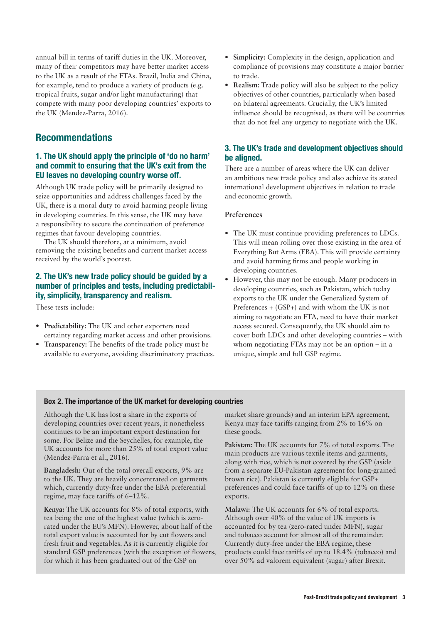annual bill in terms of tariff duties in the UK. Moreover, many of their competitors may have better market access to the UK as a result of the FTAs. Brazil, India and China, for example, tend to produce a variety of products (e.g. tropical fruits, sugar and/or light manufacturing) that compete with many poor developing countries' exports to the UK (Mendez-Parra, 2016).

#### Recommendations

#### 1. The UK should apply the principle of 'do no harm' and commit to ensuring that the UK's exit from the EU leaves no developing country worse off.

Although UK trade policy will be primarily designed to seize opportunities and address challenges faced by the UK, there is a moral duty to avoid harming people living in developing countries. In this sense, the UK may have a responsibility to secure the continuation of preference regimes that favour developing countries.

The UK should therefore, at a minimum, avoid removing the existing benefits and current market access received by the world's poorest.

#### 2. The UK's new trade policy should be guided by a number of principles and tests, including predictability, simplicity, transparency and realism.

These tests include:

- **• Predictability:** The UK and other exporters need certainty regarding market access and other provisions.
- **• Transparency:** The benefits of the trade policy must be available to everyone, avoiding discriminatory practices.
- **• Simplicity:** Complexity in the design, application and compliance of provisions may constitute a major barrier to trade.
- **• Realism:** Trade policy will also be subject to the policy objectives of other countries, particularly when based on bilateral agreements. Crucially, the UK's limited influence should be recognised, as there will be countries that do not feel any urgency to negotiate with the UK.

#### 3. The UK's trade and development objectives should be aligned.

There are a number of areas where the UK can deliver an ambitious new trade policy and also achieve its stated international development objectives in relation to trade and economic growth.

#### **Preferences**

- **•** The UK must continue providing preferences to LDCs. This will mean rolling over those existing in the area of Everything But Arms (EBA). This will provide certainty and avoid harming firms and people working in developing countries.
- **•** However, this may not be enough. Many producers in developing countries, such as Pakistan, which today exports to the UK under the Generalized System of Preferences + (GSP+) and with whom the UK is not aiming to negotiate an FTA, need to have their market access secured. Consequently, the UK should aim to cover both LDCs and other developing countries – with whom negotiating FTAs may not be an option – in a unique, simple and full GSP regime.

#### Box 2. The importance of the UK market for developing countries

Although the UK has lost a share in the exports of developing countries over recent years, it nonetheless continues to be an important export destination for some. For Belize and the Seychelles, for example, the UK accounts for more than 25% of total export value (Mendez-Parra et al., 2016).

**Bangladesh:** Out of the total overall exports, 9% are to the UK. They are heavily concentrated on garments which, currently duty-free under the EBA preferential regime, may face tariffs of 6–12%.

**Kenya:** The UK accounts for 8% of total exports, with tea being the one of the highest value (which is zerorated under the EU's MFN). However, about half of the total export value is accounted for by cut flowers and fresh fruit and vegetables. As it is currently eligible for standard GSP preferences (with the exception of flowers, for which it has been graduated out of the GSP on

market share grounds) and an interim EPA agreement, Kenya may face tariffs ranging from 2% to 16% on these goods.

**Pakistan:** The UK accounts for 7% of total exports. The main products are various textile items and garments, along with rice, which is not covered by the GSP (aside from a separate EU-Pakistan agreement for long-grained brown rice). Pakistan is currently eligible for GSP+ preferences and could face tariffs of up to 12% on these exports.

**Malawi:** The UK accounts for 6% of total exports. Although over 40% of the value of UK imports is accounted for by tea (zero-rated under MFN), sugar and tobacco account for almost all of the remainder. Currently duty-free under the EBA regime, these products could face tariffs of up to 18.4% (tobacco) and over 50% ad valorem equivalent (sugar) after Brexit.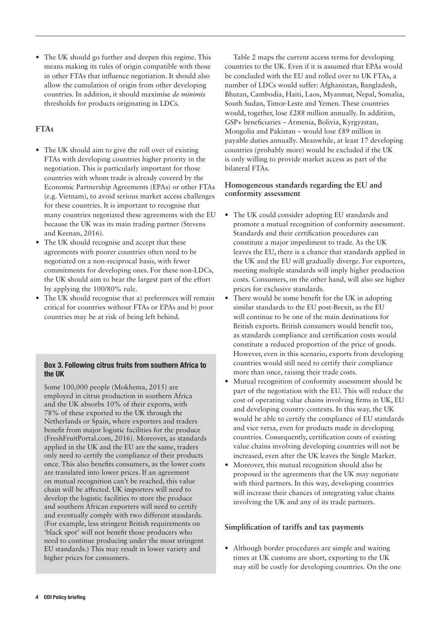**•** The UK should go further and deepen this regime. This means making its rules of origin compatible with those in other FTAs that influence negotiation. It should also allow the cumulation of origin from other developing countries. In addition, it should maximise *de minimis* thresholds for products originating in LDCs.

#### **FTAs**

- **•** The UK should aim to give the roll over of existing FTAs with developing countries higher priority in the negotiation. This is particularly important for those countries with whom trade is already covered by the Economic Partnership Agreements (EPAs) or other FTAs (e.g. Vietnam), to avoid serious market access challenges for these countries. It is important to recognise that many countries negotiated these agreements with the EU because the UK was its main trading partner (Stevens and Keenan, 2016).
- The UK should recognise and accept that these agreements with poorer countries often need to be negotiated on a non-reciprocal basis, with fewer commitments for developing ones. For these non-LDCs, the UK should aim to bear the largest part of the effort by applying the 100/80% rule.
- **•** The UK should recognise that a) preferences will remain critical for countries without FTAs or EPAs and b) poor countries may be at risk of being left behind.

#### Box 3. Following citrus fruits from southern Africa to the UK

Some 100,000 people (Mokhema, 2015) are employed in citrus production in southern Africa and the UK absorbs 10% of their exports, with 78% of these exported to the UK through the Netherlands or Spain, where exporters and traders benefit from major logistic facilities for the produce (FreshFruitPortal.com, 2016). Moreover, as standards applied in the UK and the EU are the same, traders only need to certify the compliance of their products once. This also benefits consumers, as the lower costs are translated into lower prices. If an agreement on mutual recognition can't be reached, this value chain will be affected. UK importers will need to develop the logistic facilities to store the produce and southern African exporters will need to certify and eventually comply with two different standards. (For example, less stringent British requirements on 'black spot' will not benefit those producers who need to continue producing under the most stringent EU standards.) This may result in lower variety and higher prices for consumers.

Table 2 maps the current access terms for developing countries to the UK. Even if it is assumed that EPAs would be concluded with the EU and rolled over to UK FTAs, a number of LDCs would suffer: Afghanistan, Bangladesh, Bhutan, Cambodia, Haiti, Laos, Myanmar, Nepal, Somalia, South Sudan, Timor-Leste and Yemen. These countries would, together, lose £288 million annually. In addition, GSP+ beneficiaries – Armenia, Bolivia, Kyrgyzstan, Mongolia and Pakistan – would lose £89 million in payable duties annually. Meanwhile, at least 17 developing countries (probably more) would be excluded if the UK is only willing to provide market access as part of the bilateral FTAs.

#### **Homogeneous standards regarding the EU and conformity assessment**

- **•** The UK could consider adopting EU standards and promote a mutual recognition of conformity assessment. Standards and their certification procedures can constitute a major impediment to trade. As the UK leaves the EU, there is a chance that standards applied in the UK and the EU will gradually diverge. For exporters, meeting multiple standards will imply higher production costs. Consumers, on the other hand, will also see higher prices for exclusive standards.
- **•** There would be some benefit for the UK in adopting similar standards to the EU post-Brexit, as the EU will continue to be one of the main destinations for British exports. British consumers would benefit too, as standards compliance and certification costs would constitute a reduced proportion of the price of goods. However, even in this scenario, exports from developing countries would still need to certify their compliance more than once, raising their trade costs.
- **•** Mutual recognition of conformity assessment should be part of the negotiation with the EU. This will reduce the cost of operating value chains involving firms in UK, EU and developing country contexts. In this way, the UK would be able to certify the compliance of EU standards and vice versa, even for products made in developing countries. Consequently, certification costs of existing value chains involving developing countries will not be increased, even after the UK leaves the Single Market.
- **•** Moreover, this mutual recognition should also be proposed in the agreements that the UK may negotiate with third partners. In this way, developing countries will increase their chances of integrating value chains involving the UK and any of its trade partners.

#### **Simplification of tariffs and tax payments**

**•** Although border procedures are simple and waiting times at UK customs are short, exporting to the UK may still be costly for developing countries. On the one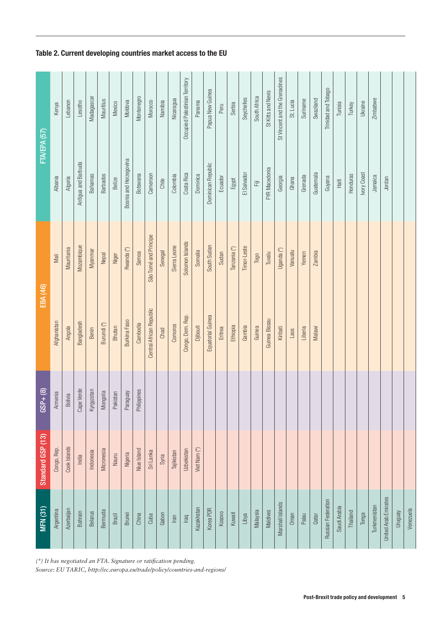Table 2. Current developing countries market access to the EU

*(\*) It has negotiated an FTA. Signature or ratification pending.* 

*Source: EU TARIC, http://ec.europa.eu/trade/policy/countries-and-regions/*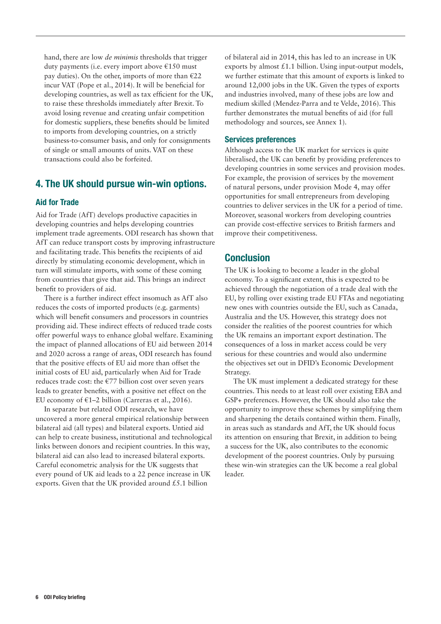hand, there are low *de minimis* thresholds that trigger duty payments (i.e. every import above €150 must pay duties). On the other, imports of more than  $E$ 22 incur VAT (Pope et al., 2014). It will be beneficial for developing countries, as well as tax efficient for the UK, to raise these thresholds immediately after Brexit. To avoid losing revenue and creating unfair competition for domestic suppliers, these benefits should be limited to imports from developing countries, on a strictly business-to-consumer basis, and only for consignments of single or small amounts of units. VAT on these transactions could also be forfeited.

#### 4. The UK should pursue win-win options.

#### Aid for Trade

Aid for Trade (AfT) develops productive capacities in developing countries and helps developing countries implement trade agreements. ODI research has shown that AfT can reduce transport costs by improving infrastructure and facilitating trade. This benefits the recipients of aid directly by stimulating economic development, which in turn will stimulate imports, with some of these coming from countries that give that aid. This brings an indirect benefit to providers of aid.

There is a further indirect effect insomuch as AfT also reduces the costs of imported products (e.g. garments) which will benefit consumers and processors in countries providing aid. These indirect effects of reduced trade costs offer powerful ways to enhance global welfare. Examining the impact of planned allocations of EU aid between 2014 and 2020 across a range of areas, ODI research has found that the positive effects of EU aid more than offset the initial costs of EU aid, particularly when Aid for Trade reduces trade cost: the €77 billion cost over seven years leads to greater benefits, with a positive net effect on the EU economy of  $\epsilon$ 1–2 billion (Carreras et al., 2016).

In separate but related ODI research, we have uncovered a more general empirical relationship between bilateral aid (all types) and bilateral exports. Untied aid can help to create business, institutional and technological links between donors and recipient countries. In this way, bilateral aid can also lead to increased bilateral exports. Careful econometric analysis for the UK suggests that every pound of UK aid leads to a 22 pence increase in UK exports. Given that the UK provided around £5.1 billion

of bilateral aid in 2014, this has led to an increase in UK exports by almost  $£1.1$  billion. Using input-output models, we further estimate that this amount of exports is linked to around 12,000 jobs in the UK. Given the types of exports and industries involved, many of these jobs are low and medium skilled (Mendez-Parra and te Velde, 2016). This further demonstrates the mutual benefits of aid (for full methodology and sources, see Annex 1).

#### Services preferences

Although access to the UK market for services is quite liberalised, the UK can benefit by providing preferences to developing countries in some services and provision modes. For example, the provision of services by the movement of natural persons, under provision Mode 4, may offer opportunities for small entrepreneurs from developing countries to deliver services in the UK for a period of time. Moreover, seasonal workers from developing countries can provide cost-effective services to British farmers and improve their competitiveness.

#### Conclusion

The UK is looking to become a leader in the global economy. To a significant extent, this is expected to be achieved through the negotiation of a trade deal with the EU, by rolling over existing trade EU FTAs and negotiating new ones with countries outside the EU, such as Canada, Australia and the US. However, this strategy does not consider the realities of the poorest countries for which the UK remains an important export destination. The consequences of a loss in market access could be very serious for these countries and would also undermine the objectives set out in DFID's Economic Development Strategy.

The UK must implement a dedicated strategy for these countries. This needs to at least roll over existing EBA and GSP+ preferences. However, the UK should also take the opportunity to improve these schemes by simplifying them and sharpening the details contained within them. Finally, in areas such as standards and AfT, the UK should focus its attention on ensuring that Brexit, in addition to being a success for the UK, also contributes to the economic development of the poorest countries. Only by pursuing these win-win strategies can the UK become a real global leader.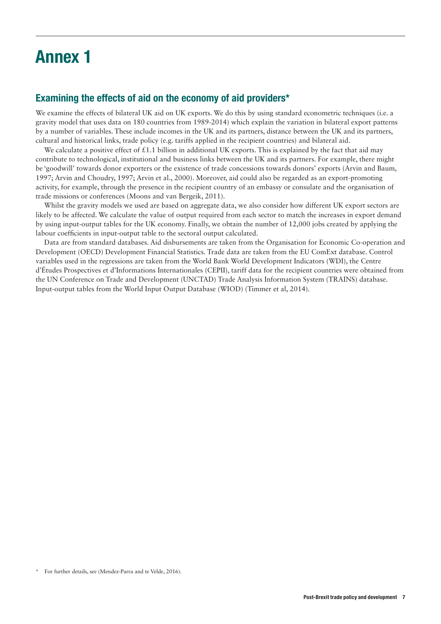## Annex 1

#### Examining the effects of aid on the economy of aid providers\*

We examine the effects of bilateral UK aid on UK exports. We do this by using standard econometric techniques (i.e. a gravity model that uses data on 180 countries from 1989-2014) which explain the variation in bilateral export patterns by a number of variables. These include incomes in the UK and its partners, distance between the UK and its partners, cultural and historical links, trade policy (e.g. tariffs applied in the recipient countries) and bilateral aid.

We calculate a positive effect of  $\pounds$ 1.1 billion in additional UK exports. This is explained by the fact that aid may contribute to technological, institutional and business links between the UK and its partners. For example, there might be 'goodwill' towards donor exporters or the existence of trade concessions towards donors' exports (Arvin and Baum, 1997; Arvin and Choudry, 1997; Arvin et al., 2000). Moreover, aid could also be regarded as an export-promoting activity, for example, through the presence in the recipient country of an embassy or consulate and the organisation of trade missions or conferences (Moons and van Bergeik, 2011).

Whilst the gravity models we used are based on aggregate data, we also consider how different UK export sectors are likely to be affected. We calculate the value of output required from each sector to match the increases in export demand by using input-output tables for the UK economy. Finally, we obtain the number of 12,000 jobs created by applying the labour coefficients in input-output table to the sectoral output calculated.

Data are from standard databases. Aid disbursements are taken from the Organisation for Economic Co-operation and Development (OECD) Development Financial Statistics. Trade data are taken from the EU ComExt database. Control variables used in the regressions are taken from the World Bank World Development Indicators (WDI), the Centre d'Études Prospectives et d'Informations Internationales (CEPII), tariff data for the recipient countries were obtained from the UN Conference on Trade and Development (UNCTAD) Trade Analysis Information System (TRAINS) database. Input-output tables from the World Input Output Database (WIOD) (Timmer et al, 2014).

<sup>\*</sup> For further details, see (Mendez-Parra and te Velde, 2016).